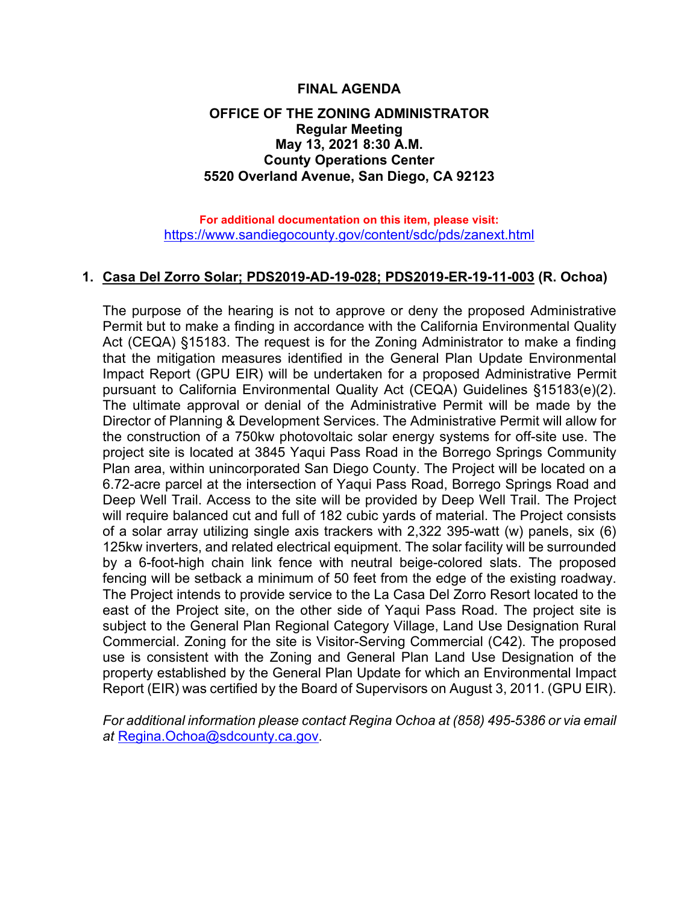## **FINAL AGENDA**

## **OFFICE OF THE ZONING ADMINISTRATOR Regular Meeting May 13, 2021 8:30 A.M. County Operations Center 5520 Overland Avenue, San Diego, CA 92123**

**For additional documentation on this item, please visit:** <https://www.sandiegocounty.gov/content/sdc/pds/zanext.html>

## **1. Casa Del Zorro Solar; PDS2019-AD-19-028; PDS2019-ER-19-11-003 (R. Ochoa)**

The purpose of the hearing is not to approve or deny the proposed Administrative Permit but to make a finding in accordance with the California Environmental Quality Act (CEQA) §15183. The request is for the Zoning Administrator to make a finding that the mitigation measures identified in the General Plan Update Environmental Impact Report (GPU EIR) will be undertaken for a proposed Administrative Permit pursuant to California Environmental Quality Act (CEQA) Guidelines §15183(e)(2). The ultimate approval or denial of the Administrative Permit will be made by the Director of Planning & Development Services. The Administrative Permit will allow for the construction of a 750kw photovoltaic solar energy systems for off-site use. The project site is located at 3845 Yaqui Pass Road in the Borrego Springs Community Plan area, within unincorporated San Diego County. The Project will be located on a 6.72-acre parcel at the intersection of Yaqui Pass Road, Borrego Springs Road and Deep Well Trail. Access to the site will be provided by Deep Well Trail. The Project will require balanced cut and full of 182 cubic yards of material. The Project consists of a solar array utilizing single axis trackers with 2,322 395-watt (w) panels, six (6) 125kw inverters, and related electrical equipment. The solar facility will be surrounded by a 6-foot-high chain link fence with neutral beige-colored slats. The proposed fencing will be setback a minimum of 50 feet from the edge of the existing roadway. The Project intends to provide service to the La Casa Del Zorro Resort located to the east of the Project site, on the other side of Yaqui Pass Road. The project site is subject to the General Plan Regional Category Village, Land Use Designation Rural Commercial. Zoning for the site is Visitor-Serving Commercial (C42). The proposed use is consistent with the Zoning and General Plan Land Use Designation of the property established by the General Plan Update for which an Environmental Impact Report (EIR) was certified by the Board of Supervisors on August 3, 2011. (GPU EIR).

*For additional information please contact Regina Ochoa at (858) 495-5386 or via email at* [Regina.Ochoa@sdcounty.ca.gov.](mailto:Regina.Ochoa@sdcounty.ca.gov)